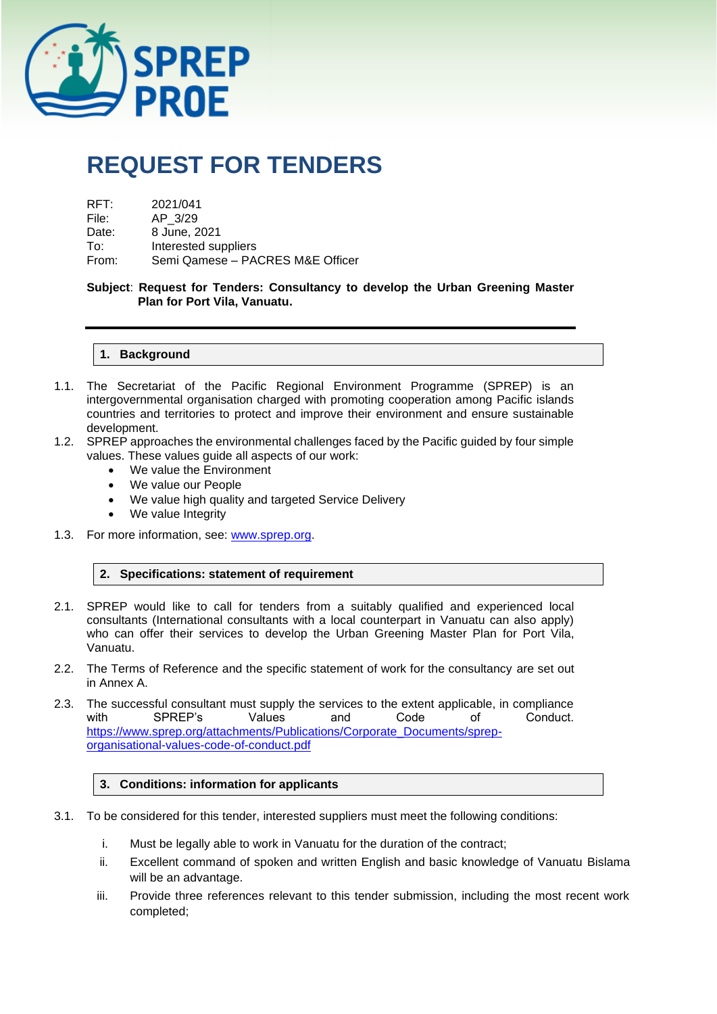

# **REQUEST FOR TENDERS**

| RFT:  | 2021/041                         |
|-------|----------------------------------|
| File: | AP 3/29                          |
| Date: | 8 June, 2021                     |
| To:   | Interested suppliers             |
| From: | Semi Qamese - PACRES M&E Officer |

**Subject**: **Request for Tenders: Consultancy to develop the Urban Greening Master Plan for Port Vila, Vanuatu.**

#### **1. Background**

- 1.1. The Secretariat of the Pacific Regional Environment Programme (SPREP) is an intergovernmental organisation charged with promoting cooperation among Pacific islands countries and territories to protect and improve their environment and ensure sustainable development.
- 1.2. SPREP approaches the environmental challenges faced by the Pacific guided by four simple values. These values guide all aspects of our work:
	- We value the Environment
	- We value our People
	- We value high quality and targeted Service Delivery
	- We value Integrity
- 1.3. For more information, see: [www.sprep.org.](http://www.sprep.org/)

#### **2. Specifications: statement of requirement**

- 2.1. SPREP would like to call for tenders from a suitably qualified and experienced local consultants (International consultants with a local counterpart in Vanuatu can also apply) who can offer their services to develop the Urban Greening Master Plan for Port Vila, Vanuatu.
- 2.2. The Terms of Reference and the specific statement of work for the consultancy are set out in Annex A.
- 2.3. The successful consultant must supply the services to the extent applicable, in compliance<br>with SPREP's Values and Code of Conduct. with SPREP's Values and Code of Conduct. [https://www.sprep.org/attachments/Publications/Corporate\\_Documents/sprep](https://www.sprep.org/attachments/Publications/Corporate_Documents/sprep-organisational-values-code-of-conduct.pdf)[organisational-values-code-of-conduct.pdf](https://www.sprep.org/attachments/Publications/Corporate_Documents/sprep-organisational-values-code-of-conduct.pdf)

#### **3. Conditions: information for applicants**

- 3.1. To be considered for this tender, interested suppliers must meet the following conditions:
	- i. Must be legally able to work in Vanuatu for the duration of the contract;
	- ii. Excellent command of spoken and written English and basic knowledge of Vanuatu Bislama will be an advantage.
	- iii. Provide three references relevant to this tender submission, including the most recent work completed;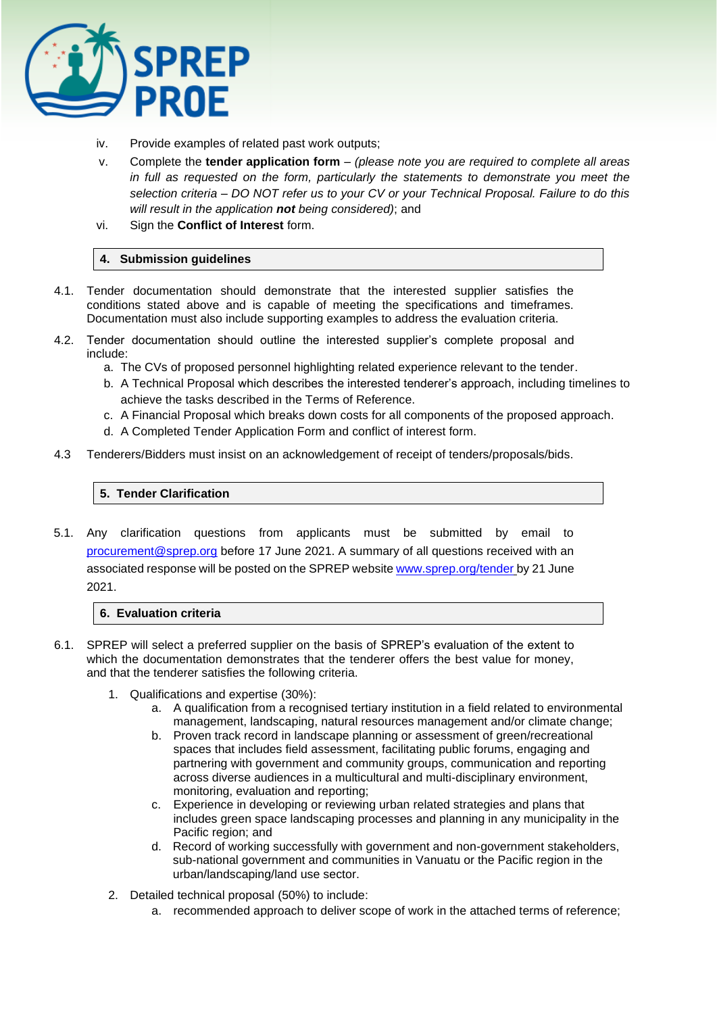

- iv. Provide examples of related past work outputs;
- v. Complete the **tender application form**  *(please note you are required to complete all areas in full as requested on the form, particularly the statements to demonstrate you meet the selection criteria – DO NOT refer us to your CV or your Technical Proposal. Failure to do this will result in the application not being considered)*; and
- vi. Sign the **Conflict of Interest** form.

## **4. Submission guidelines**

- 4.1. Tender documentation should demonstrate that the interested supplier satisfies the conditions stated above and is capable of meeting the specifications and timeframes. Documentation must also include supporting examples to address the evaluation criteria.
- 4.2. Tender documentation should outline the interested supplier's complete proposal and include:
	- a. The CVs of proposed personnel highlighting related experience relevant to the tender.
	- b. A Technical Proposal which describes the interested tenderer's approach, including timelines to achieve the tasks described in the Terms of Reference.
	- c. A Financial Proposal which breaks down costs for all components of the proposed approach.
	- d. A Completed Tender Application Form and conflict of interest form.
- 4.3 Tenderers/Bidders must insist on an acknowledgement of receipt of tenders/proposals/bids.

## **5. Tender Clarification**

5.1. Any clarification questions from applicants must be submitted by email to [procurement@sprep.org](mailto:procurement@sprep.org) before 17 June 2021. A summary of all questions received with an associated response will be posted on the SPREP website [www.sprep.org/tender](http://www.sprep.org/tender) by 21 June 2021.

### **6. Evaluation criteria**

- 6.1. SPREP will select a preferred supplier on the basis of SPREP's evaluation of the extent to which the documentation demonstrates that the tenderer offers the best value for money, and that the tenderer satisfies the following criteria.
	- 1. Qualifications and expertise (30%):
		- a. A qualification from a recognised tertiary institution in a field related to environmental management, landscaping, natural resources management and/or climate change;
		- b. Proven track record in landscape planning or assessment of green/recreational spaces that includes field assessment, facilitating public forums, engaging and partnering with government and community groups, communication and reporting across diverse audiences in a multicultural and multi-disciplinary environment, monitoring, evaluation and reporting;
		- c. Experience in developing or reviewing urban related strategies and plans that includes green space landscaping processes and planning in any municipality in the Pacific region; and
		- d. Record of working successfully with government and non-government stakeholders, sub-national government and communities in Vanuatu or the Pacific region in the urban/landscaping/land use sector.
	- 2. Detailed technical proposal (50%) to include:
		- a. recommended approach to deliver scope of work in the attached terms of reference;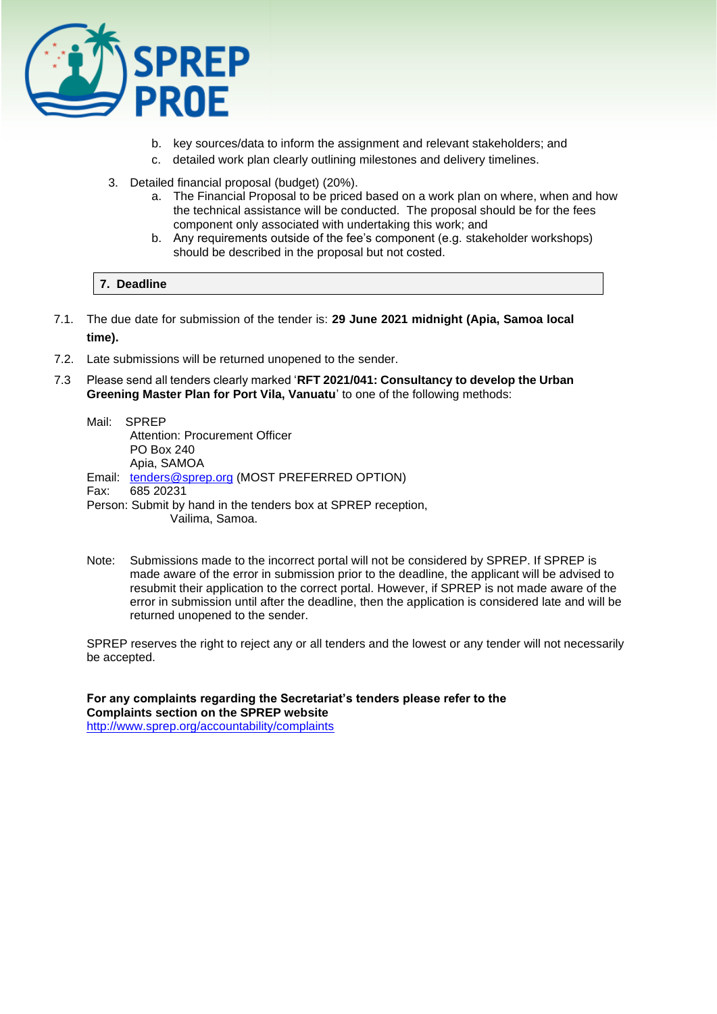

- b. key sources/data to inform the assignment and relevant stakeholders; and
- c. detailed work plan clearly outlining milestones and delivery timelines.
- 3. Detailed financial proposal (budget) (20%).
	- a. The Financial Proposal to be priced based on a work plan on where, when and how the technical assistance will be conducted. The proposal should be for the fees component only associated with undertaking this work; and
	- b. Any requirements outside of the fee's component (e.g. stakeholder workshops) should be described in the proposal but not costed.

## **7. Deadline**

- 7.1. The due date for submission of the tender is: **29 June 2021 midnight (Apia, Samoa local time).**
- 7.2. Late submissions will be returned unopened to the sender.
- 7.3 Please send all tenders clearly marked '**RFT 2021/041: Consultancy to develop the Urban Greening Master Plan for Port Vila, Vanuatu**' to one of the following methods:

|      | Mail: SPREP                                                   |
|------|---------------------------------------------------------------|
|      | Attention: Procurement Officer                                |
|      | <b>PO Box 240</b>                                             |
|      | Apia, SAMOA                                                   |
|      | Email: tenders@sprep.org (MOST PREFERRED OPTION)              |
| Fax: | 685 20231                                                     |
|      | Person: Submit by hand in the tenders box at SPREP reception, |
|      | Vailima, Samoa.                                               |

Note: Submissions made to the incorrect portal will not be considered by SPREP. If SPREP is made aware of the error in submission prior to the deadline, the applicant will be advised to resubmit their application to the correct portal. However, if SPREP is not made aware of the error in submission until after the deadline, then the application is considered late and will be returned unopened to the sender.

SPREP reserves the right to reject any or all tenders and the lowest or any tender will not necessarily be accepted.

**For any complaints regarding the Secretariat's tenders please refer to the Complaints section on the SPREP website**  <http://www.sprep.org/accountability/complaints>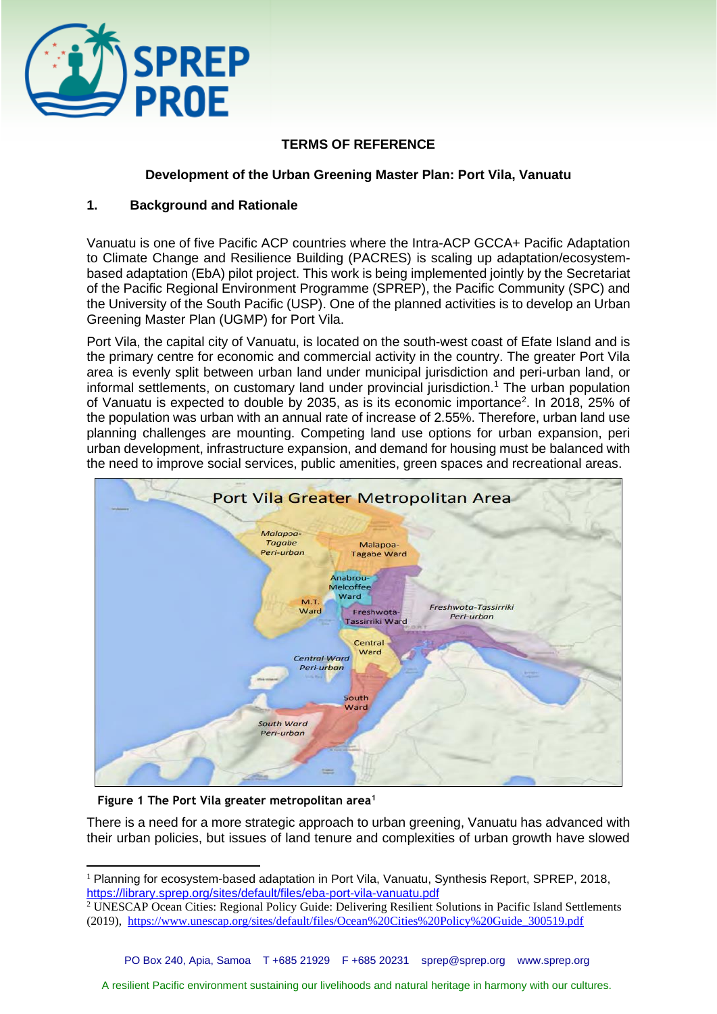

# **TERMS OF REFERENCE**

## **Development of the Urban Greening Master Plan: Port Vila, Vanuatu**

## **1. Background and Rationale**

Vanuatu is one of five Pacific ACP countries where the Intra-ACP GCCA+ Pacific Adaptation to Climate Change and Resilience Building (PACRES) is scaling up adaptation/ecosystembased adaptation (EbA) pilot project. This work is being implemented jointly by the Secretariat of the Pacific Regional Environment Programme (SPREP), the Pacific Community (SPC) and the University of the South Pacific (USP). One of the planned activities is to develop an Urban Greening Master Plan (UGMP) for Port Vila.

Port Vila, the capital city of Vanuatu, is located on the south-west coast of Efate Island and is the primary centre for economic and commercial activity in the country. The greater Port Vila area is evenly split between urban land under municipal jurisdiction and peri-urban land, or informal settlements, on customary land under provincial jurisdiction.<sup>1</sup> The urban population of Vanuatu is expected to double by 2035, as is its economic importance<sup>2</sup>. In 2018, 25% of the population was urban with an annual rate of increase of 2.55%. Therefore, urban land use planning challenges are mounting. Competing land use options for urban expansion, peri urban development, infrastructure expansion, and demand for housing must be balanced with the need to improve social services, public amenities, green spaces and recreational areas.



 **Figure 1 The Port Vila greater metropolitan area<sup>1</sup>**

There is a need for a more strategic approach to urban greening, Vanuatu has advanced with their urban policies, but issues of land tenure and complexities of urban growth have slowed

<sup>&</sup>lt;sup>1</sup> Planning for ecosystem-based adaptation in Port Vila, Vanuatu, Synthesis Report, SPREP, 2018, <https://library.sprep.org/sites/default/files/eba-port-vila-vanuatu.pdf>

<sup>&</sup>lt;sup>2</sup> UNESCAP Ocean Cities: Regional Policy Guide: Delivering Resilient Solutions in Pacific Island Settlements (2019), [https://www.unescap.org/sites/default/files/Ocean%20Cities%20Policy%20Guide\\_300519.pdf](https://www.unescap.org/sites/default/files/Ocean%20Cities%20Policy%20Guide_300519.pdf)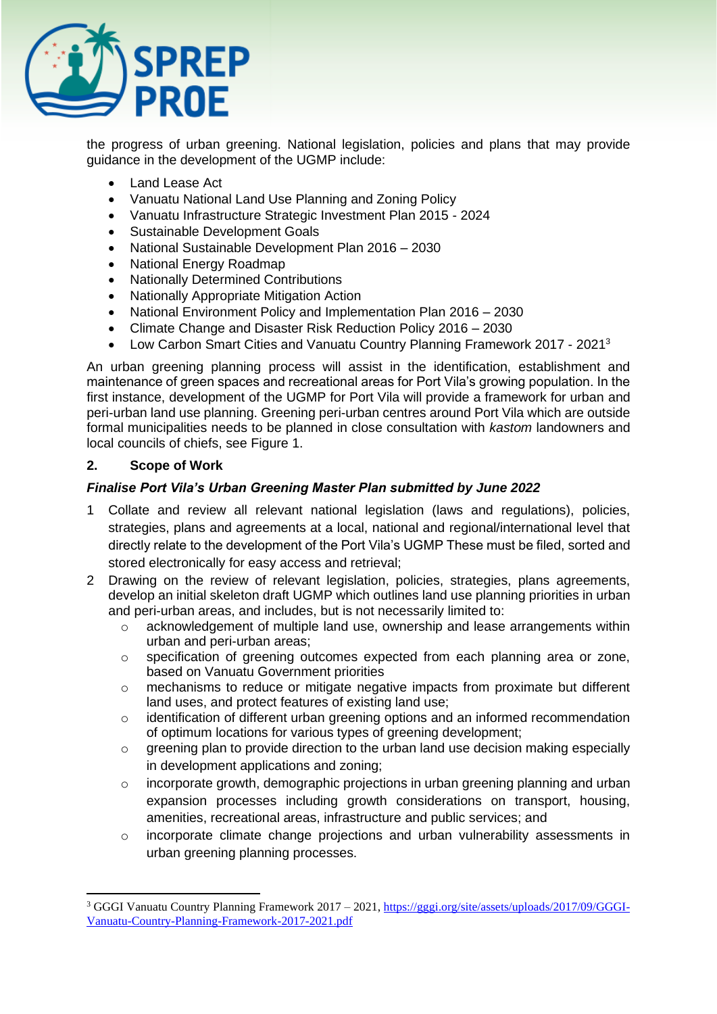

the progress of urban greening. National legislation, policies and plans that may provide guidance in the development of the UGMP include:

- Land Lease Act
- Vanuatu National Land Use Planning and Zoning Policy
- Vanuatu Infrastructure Strategic Investment Plan 2015 2024
- Sustainable Development Goals
- National Sustainable Development Plan 2016 2030
- National Energy Roadmap
- Nationally Determined Contributions
- Nationally Appropriate Mitigation Action
- National Environment Policy and Implementation Plan 2016 2030
- Climate Change and Disaster Risk Reduction Policy 2016 2030
- Low Carbon Smart Cities and Vanuatu Country Planning Framework 2017 2021<sup>3</sup>

An urban greening planning process will assist in the identification, establishment and maintenance of green spaces and recreational areas for Port Vila's growing population. In the first instance, development of the UGMP for Port Vila will provide a framework for urban and peri-urban land use planning. Greening peri-urban centres around Port Vila which are outside formal municipalities needs to be planned in close consultation with *kastom* landowners and local councils of chiefs, see Figure 1.

## **2. Scope of Work**

# *Finalise Port Vila's Urban Greening Master Plan submitted by June 2022*

- 1 Collate and review all relevant national legislation (laws and regulations), policies, strategies, plans and agreements at a local, national and regional/international level that directly relate to the development of the Port Vila's UGMP These must be filed, sorted and stored electronically for easy access and retrieval;
- 2 Drawing on the review of relevant legislation, policies, strategies, plans agreements, develop an initial skeleton draft UGMP which outlines land use planning priorities in urban and peri-urban areas, and includes, but is not necessarily limited to:
	- o acknowledgement of multiple land use, ownership and lease arrangements within urban and peri-urban areas;
	- $\circ$  specification of greening outcomes expected from each planning area or zone, based on Vanuatu Government priorities
	- $\circ$  mechanisms to reduce or mitigate negative impacts from proximate but different land uses, and protect features of existing land use;
	- o identification of different urban greening options and an informed recommendation of optimum locations for various types of greening development;
	- o greening plan to provide direction to the urban land use decision making especially in development applications and zoning;
	- o incorporate growth, demographic projections in urban greening planning and urban expansion processes including growth considerations on transport, housing, amenities, recreational areas, infrastructure and public services; and
	- o incorporate climate change projections and urban vulnerability assessments in urban greening planning processes.

<sup>3</sup> GGGI Vanuatu Country Planning Framework 2017 – 2021[, https://gggi.org/site/assets/uploads/2017/09/GGGI-](https://gggi.org/site/assets/uploads/2017/09/GGGI-Vanuatu-Country-Planning-Framework-2017-2021.pdf)[Vanuatu-Country-Planning-Framework-2017-2021.pdf](https://gggi.org/site/assets/uploads/2017/09/GGGI-Vanuatu-Country-Planning-Framework-2017-2021.pdf)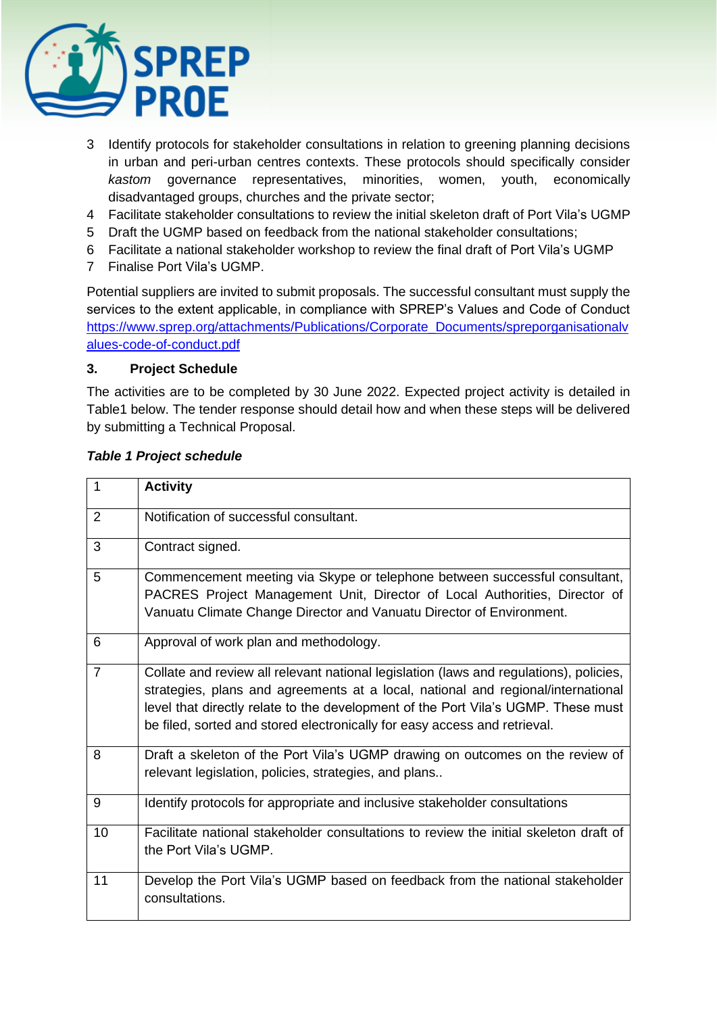

- 3 Identify protocols for stakeholder consultations in relation to greening planning decisions in urban and peri-urban centres contexts. These protocols should specifically consider *kastom* governance representatives, minorities, women, youth, economically disadvantaged groups, churches and the private sector;
- 4 Facilitate stakeholder consultations to review the initial skeleton draft of Port Vila's UGMP
- 5 Draft the UGMP based on feedback from the national stakeholder consultations;
- 6 Facilitate a national stakeholder workshop to review the final draft of Port Vila's UGMP
- 7 Finalise Port Vila's UGMP.

Potential suppliers are invited to submit proposals. The successful consultant must supply the services to the extent applicable, in compliance with SPREP's Values and Code of Conduct [https://www.sprep.org/attachments/Publications/Corporate\\_Documents/spreporganisationalv](https://www.sprep.org/attachments/Publications/Corporate_Documents/spreporganisationalvalues-code-of-conduct.pdf) [alues-code-of-conduct.pdf](https://www.sprep.org/attachments/Publications/Corporate_Documents/spreporganisationalvalues-code-of-conduct.pdf)

# **3. Project Schedule**

The activities are to be completed by 30 June 2022. Expected project activity is detailed in Table1 below. The tender response should detail how and when these steps will be delivered by submitting a Technical Proposal.

| $\mathbf{1}$   | <b>Activity</b>                                                                                                                                                                                                                                                                                                                              |
|----------------|----------------------------------------------------------------------------------------------------------------------------------------------------------------------------------------------------------------------------------------------------------------------------------------------------------------------------------------------|
| 2              | Notification of successful consultant.                                                                                                                                                                                                                                                                                                       |
| 3              | Contract signed.                                                                                                                                                                                                                                                                                                                             |
| 5              | Commencement meeting via Skype or telephone between successful consultant,<br>PACRES Project Management Unit, Director of Local Authorities, Director of<br>Vanuatu Climate Change Director and Vanuatu Director of Environment.                                                                                                             |
| 6              | Approval of work plan and methodology.                                                                                                                                                                                                                                                                                                       |
| $\overline{7}$ | Collate and review all relevant national legislation (laws and regulations), policies,<br>strategies, plans and agreements at a local, national and regional/international<br>level that directly relate to the development of the Port Vila's UGMP. These must<br>be filed, sorted and stored electronically for easy access and retrieval. |
| 8              | Draft a skeleton of the Port Vila's UGMP drawing on outcomes on the review of<br>relevant legislation, policies, strategies, and plans                                                                                                                                                                                                       |
| 9              | Identify protocols for appropriate and inclusive stakeholder consultations                                                                                                                                                                                                                                                                   |
| 10             | Facilitate national stakeholder consultations to review the initial skeleton draft of<br>the Port Vila's UGMP.                                                                                                                                                                                                                               |
| 11             | Develop the Port Vila's UGMP based on feedback from the national stakeholder<br>consultations.                                                                                                                                                                                                                                               |

# *Table 1 Project schedule*